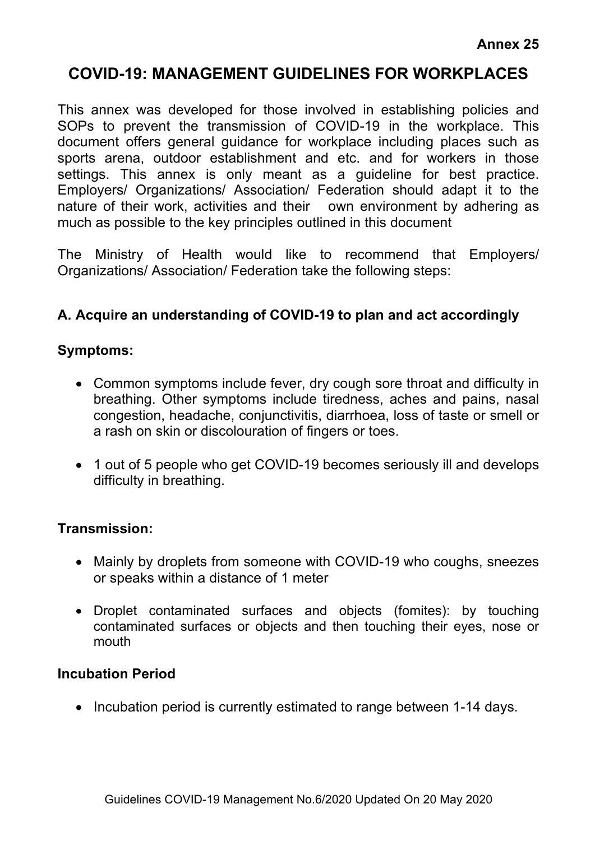# **COVID-19: MANAGEMENT GUIDELINES FOR WORKPLACES**

This annex was developed for those involved in establishing policies and SOPs to prevent the transmission of COVID-19 in the workplace. This document offers general guidance for workplace including places such as sports arena, outdoor establishment and etc. and for workers in those settings. This annex is only meant as a guideline for best practice. Employers/ Organizations/ Association/ Federation should adapt it to the nature of their work, activities and their own environment by adhering as much as possible to the key principles outlined in this document

The Ministry of Health would like to recommend that Employers/ Organizations/ Association/ Federation take the following steps:

### **A. Acquire an understanding of COVID-19 to plan and act accordingly**

#### **Symptoms:**

- Common symptoms include fever, dry cough sore throat and difficulty in breathing. Other symptoms include tiredness, aches and pains, nasal congestion, headache, conjunctivitis, diarrhoea, loss of taste or smell or a rash on skin or discolouration of fingers or toes.
- 1 out of 5 people who get COVID-19 becomes seriously ill and develops difficulty in breathing.

#### **Transmission:**

- Mainly by droplets from someone with COVID-19 who coughs, sneezes or speaks within a distance of 1 meter
- Droplet contaminated surfaces and objects (fomites): by touching contaminated surfaces or objects and then touching their eyes, nose or mouth

#### **Incubation Period**

• Incubation period is currently estimated to range between 1-14 days.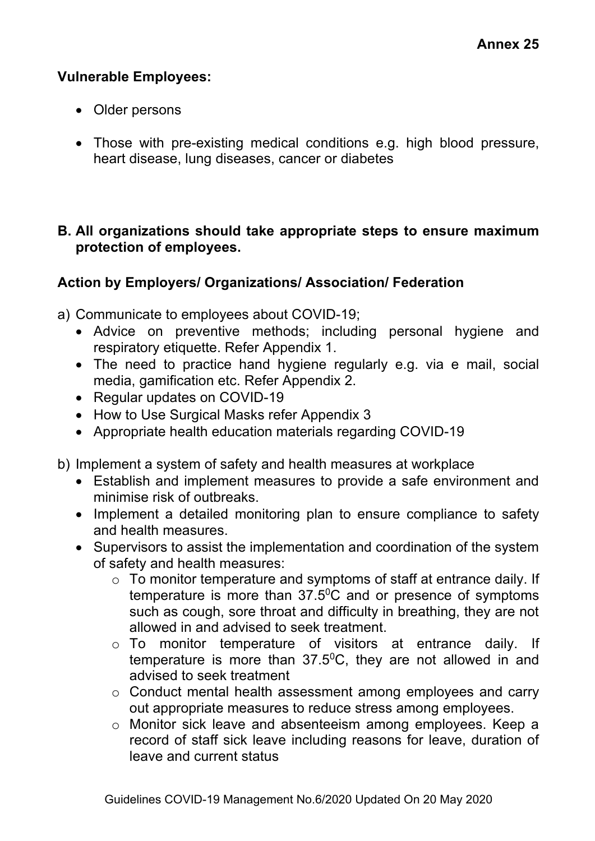#### **Vulnerable Employees:**

- Older persons
- Those with pre-existing medical conditions e.g. high blood pressure, heart disease, lung diseases, cancer or diabetes

#### **B. All organizations should take appropriate steps to ensure maximum protection of employees.**

### **Action by Employers/ Organizations/ Association/ Federation**

a) Communicate to employees about COVID-19;

- Advice on preventive methods; including personal hygiene and respiratory etiquette. Refer Appendix 1.
- The need to practice hand hygiene regularly e.g. via e mail, social media, gamification etc. Refer Appendix 2.
- Regular updates on COVID-19
- How to Use Surgical Masks refer Appendix 3
- Appropriate health education materials regarding COVID-19

b) Implement a system of safety and health measures at workplace

- Establish and implement measures to provide a safe environment and minimise risk of outbreaks.
- Implement a detailed monitoring plan to ensure compliance to safety and health measures.
- Supervisors to assist the implementation and coordination of the system of safety and health measures:
	- $\circ$  To monitor temperature and symptoms of staff at entrance daily. If temperature is more than  $37.5$ <sup>o</sup>C and or presence of symptoms such as cough, sore throat and difficulty in breathing, they are not allowed in and advised to seek treatment.
	- o To monitor temperature of visitors at entrance daily. If temperature is more than  $37.5$ <sup>o</sup>C, they are not allowed in and advised to seek treatment
	- o Conduct mental health assessment among employees and carry out appropriate measures to reduce stress among employees.
	- o Monitor sick leave and absenteeism among employees. Keep a record of staff sick leave including reasons for leave, duration of leave and current status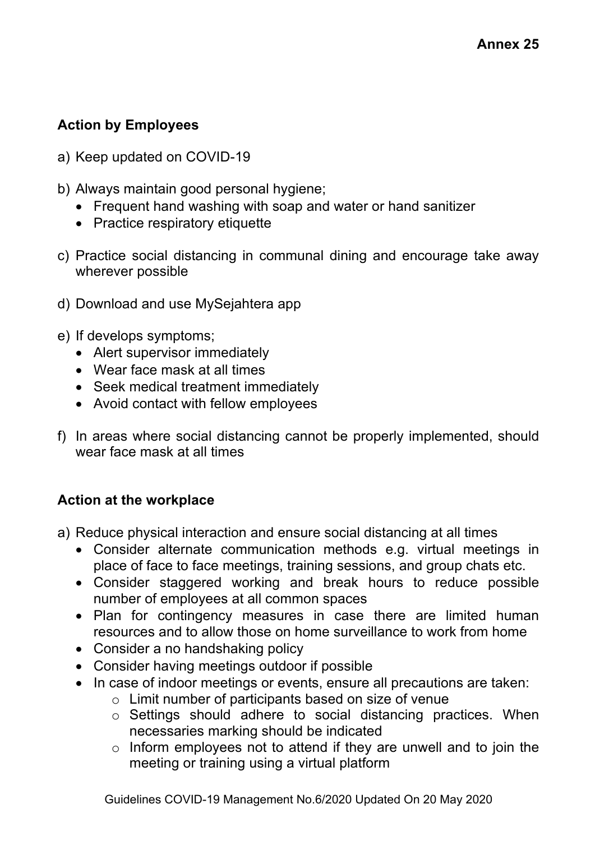### **Action by Employees**

- a) Keep updated on COVID-19
- b) Always maintain good personal hygiene;
	- Frequent hand washing with soap and water or hand sanitizer
	- Practice respiratory etiquette
- c) Practice social distancing in communal dining and encourage take away wherever possible
- d) Download and use MySejahtera app
- e) If develops symptoms;
	- Alert supervisor immediately
	- Wear face mask at all times
	- Seek medical treatment immediately
	- Avoid contact with fellow employees
- f) In areas where social distancing cannot be properly implemented, should wear face mask at all times

#### **Action at the workplace**

- a) Reduce physical interaction and ensure social distancing at all times
	- Consider alternate communication methods e.g. virtual meetings in place of face to face meetings, training sessions, and group chats etc.
	- Consider staggered working and break hours to reduce possible number of employees at all common spaces
	- Plan for contingency measures in case there are limited human resources and to allow those on home surveillance to work from home
	- Consider a no handshaking policy
	- Consider having meetings outdoor if possible
	- In case of indoor meetings or events, ensure all precautions are taken:
		- o Limit number of participants based on size of venue
		- o Settings should adhere to social distancing practices. When necessaries marking should be indicated
		- $\circ$  Inform employees not to attend if they are unwell and to join the meeting or training using a virtual platform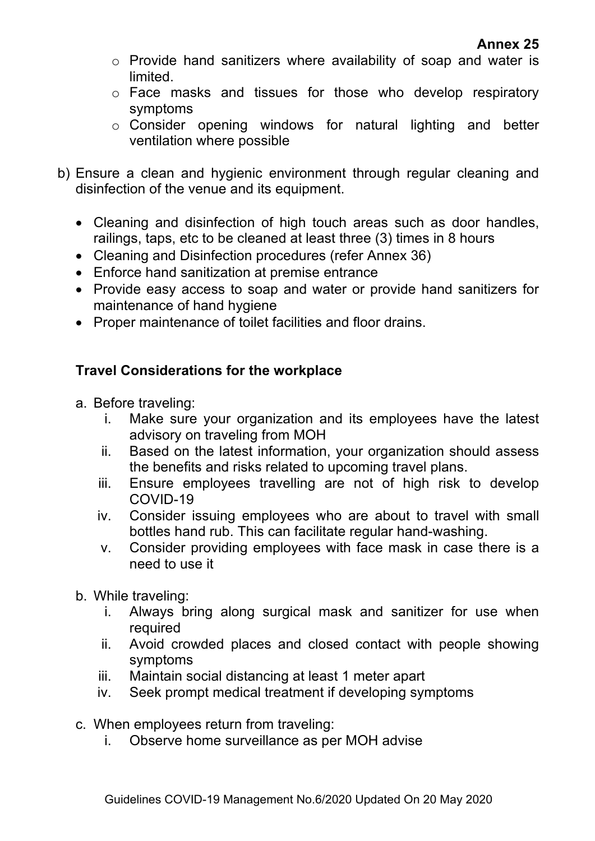- o Provide hand sanitizers where availability of soap and water is limited.
- o Face masks and tissues for those who develop respiratory symptoms
- o Consider opening windows for natural lighting and better ventilation where possible
- b) Ensure a clean and hygienic environment through regular cleaning and disinfection of the venue and its equipment.
	- Cleaning and disinfection of high touch areas such as door handles, railings, taps, etc to be cleaned at least three (3) times in 8 hours
	- Cleaning and Disinfection procedures (refer Annex 36)
	- Enforce hand sanitization at premise entrance
	- Provide easy access to soap and water or provide hand sanitizers for maintenance of hand hygiene
	- Proper maintenance of toilet facilities and floor drains.

### **Travel Considerations for the workplace**

- a. Before traveling:
	- i. Make sure your organization and its employees have the latest advisory on traveling from MOH
	- ii. Based on the latest information, your organization should assess the benefits and risks related to upcoming travel plans.
	- iii. Ensure employees travelling are not of high risk to develop COVID-19
	- iv. Consider issuing employees who are about to travel with small bottles hand rub. This can facilitate regular hand-washing.
	- v. Consider providing employees with face mask in case there is a need to use it
- b. While traveling:
	- i. Always bring along surgical mask and sanitizer for use when required
	- ii. Avoid crowded places and closed contact with people showing symptoms
	- iii. Maintain social distancing at least 1 meter apart
	- iv. Seek prompt medical treatment if developing symptoms
- c. When employees return from traveling:
	- i. Observe home surveillance as per MOH advise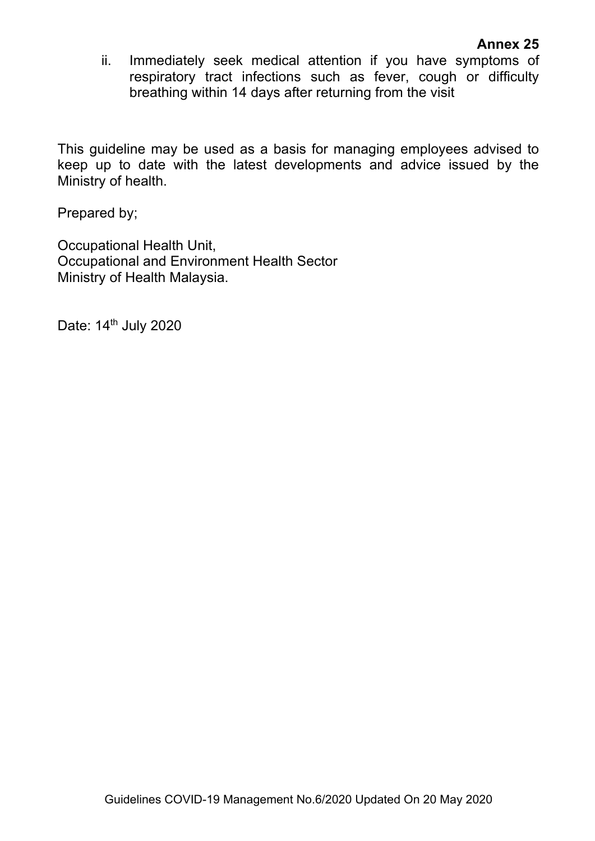#### **Annex 25**

ii. Immediately seek medical attention if you have symptoms of respiratory tract infections such as fever, cough or difficulty breathing within 14 days after returning from the visit

This guideline may be used as a basis for managing employees advised to keep up to date with the latest developments and advice issued by the Ministry of health.

Prepared by;

Occupational Health Unit, Occupational and Environment Health Sector Ministry of Health Malaysia.

Date: 14<sup>th</sup> July 2020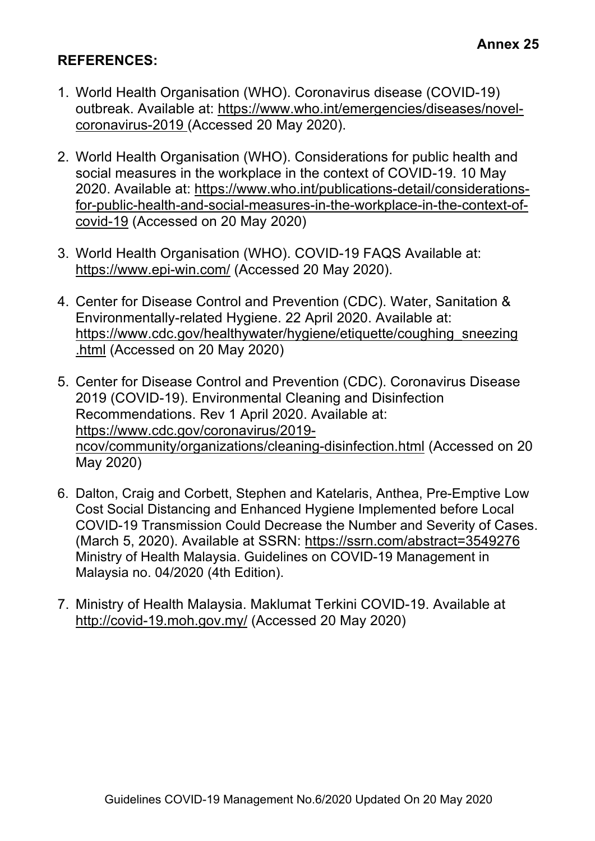### **REFERENCES:**

- 1. World Health Organisation (WHO). Coronavirus disease (COVID-19) outbreak. Available at: https://www.who.int/emergencies/diseases/novelcoronavirus-2019 (Accessed 20 May 2020).
- 2. World Health Organisation (WHO). Considerations for public health and social measures in the workplace in the context of COVID-19. 10 May 2020. Available at: https://www.who.int/publications-detail/considerationsfor-public-health-and-social-measures-in-the-workplace-in-the-context-ofcovid-19 (Accessed on 20 May 2020)
- 3. World Health Organisation (WHO). COVID-19 FAQS Available at: https://www.epi-win.com/ (Accessed 20 May 2020).
- 4. Center for Disease Control and Prevention (CDC). Water, Sanitation & Environmentally-related Hygiene. 22 April 2020. Available at: https://www.cdc.gov/healthywater/hygiene/etiquette/coughing\_sneezing .html (Accessed on 20 May 2020)
- 5. Center for Disease Control and Prevention (CDC). Coronavirus Disease 2019 (COVID-19). Environmental Cleaning and Disinfection Recommendations. Rev 1 April 2020. Available at: https://www.cdc.gov/coronavirus/2019 ncov/community/organizations/cleaning-disinfection.html (Accessed on 20 May 2020)
- 6. Dalton, Craig and Corbett, Stephen and Katelaris, Anthea, Pre-Emptive Low Cost Social Distancing and Enhanced Hygiene Implemented before Local COVID-19 Transmission Could Decrease the Number and Severity of Cases. (March 5, 2020). Available at SSRN: https://ssrn.com/abstract=3549276 Ministry of Health Malaysia. Guidelines on COVID-19 Management in Malaysia no. 04/2020 (4th Edition).
- 7. Ministry of Health Malaysia. Maklumat Terkini COVID-19. Available at http://covid-19.moh.gov.my/ (Accessed 20 May 2020)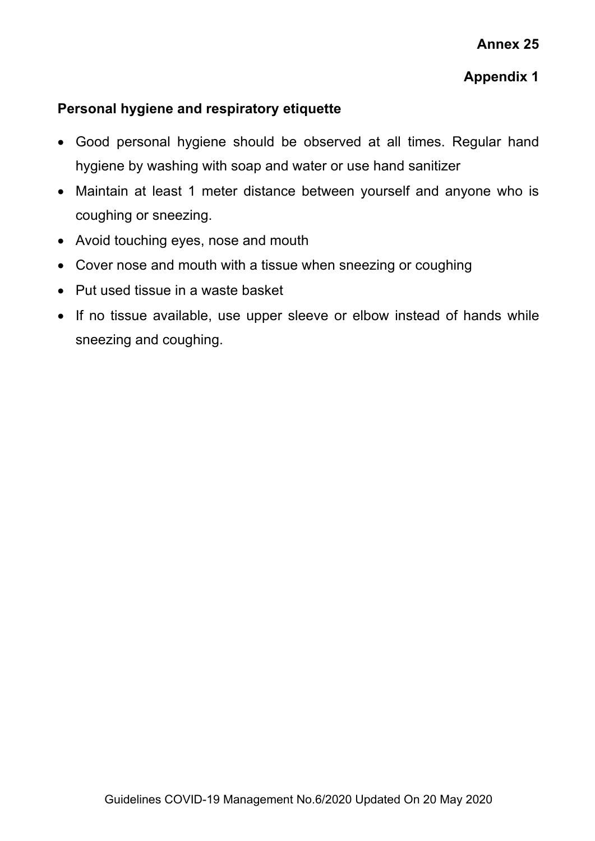### **Appendix 1**

### **Personal hygiene and respiratory etiquette**

- Good personal hygiene should be observed at all times. Regular hand hygiene by washing with soap and water or use hand sanitizer
- Maintain at least 1 meter distance between yourself and anyone who is coughing or sneezing.
- Avoid touching eyes, nose and mouth
- Cover nose and mouth with a tissue when sneezing or coughing
- Put used tissue in a waste basket
- If no tissue available, use upper sleeve or elbow instead of hands while sneezing and coughing.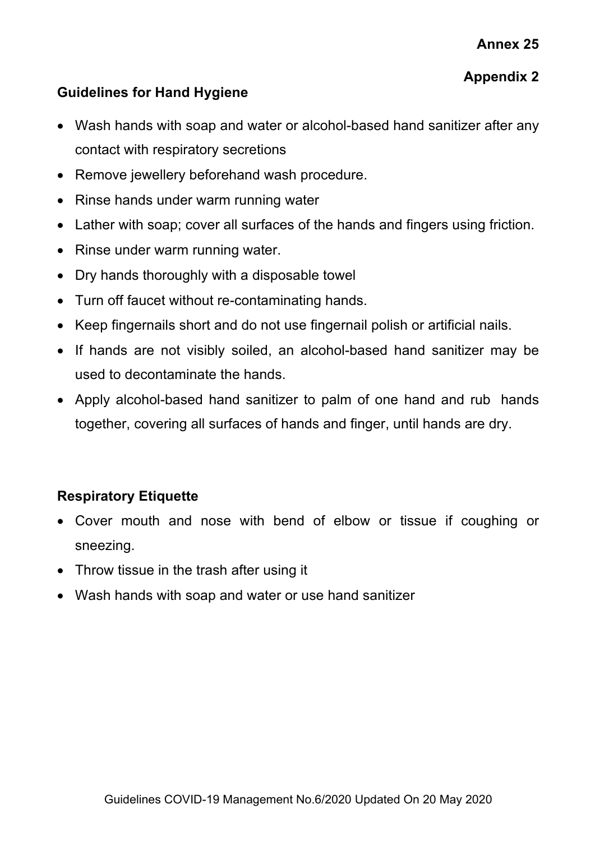# **Appendix 2**

### **Guidelines for Hand Hygiene**

- Wash hands with soap and water or alcohol-based hand sanitizer after any contact with respiratory secretions
- Remove jewellery beforehand wash procedure.
- Rinse hands under warm running water
- Lather with soap; cover all surfaces of the hands and fingers using friction.
- Rinse under warm running water.
- Dry hands thoroughly with a disposable towel
- Turn off faucet without re-contaminating hands.
- Keep fingernails short and do not use fingernail polish or artificial nails.
- If hands are not visibly soiled, an alcohol-based hand sanitizer may be used to decontaminate the hands.
- Apply alcohol-based hand sanitizer to palm of one hand and rub hands together, covering all surfaces of hands and finger, until hands are dry.

# **Respiratory Etiquette**

- Cover mouth and nose with bend of elbow or tissue if coughing or sneezing.
- Throw tissue in the trash after using it
- Wash hands with soap and water or use hand sanitizer